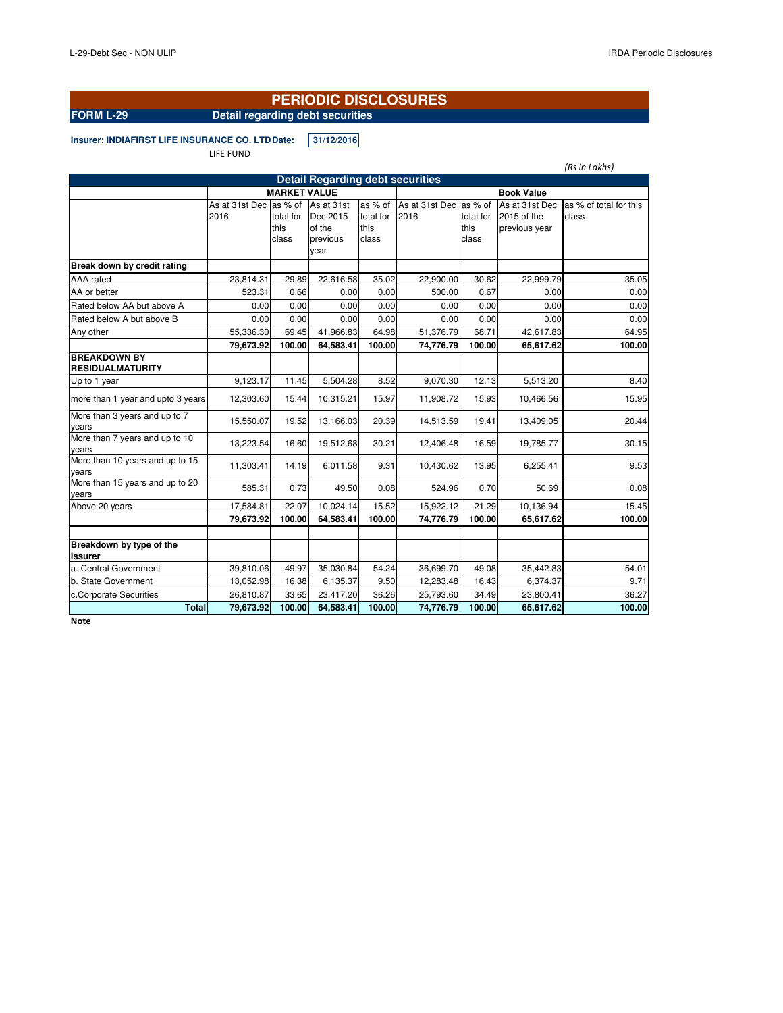# **PERIODIC DISCLOSURES**

# **FORM L-29** Detail regarding debt securities

**Insurer: INDIAFIRST LIFE INSURANCE CO. LTD Date: 31/12/2016** 

### LIFE FUND *(Rs in Lakhs)* As at 31st Dec as % of As at 31st 2016 total for this class Dec 2015 of the previous year as % of total for this class As at 31st Dec as % of 2016 total for this class As at 31st Dec as % of total for this 2015 of the previous year class **Break down by credit rating** AAA rated 23,814.31 29.89 22,616.58 35.02 22,900.00 30.62 22,999.79 35.05 AA or better | 523.31| 0.66| 0.00| 0.00| 500.00| 0.67| 0.00| 0.00 Rated below AA but above A  $\begin{array}{|c|c|c|c|c|c|c|c|c|} \hline 0.00 & 0.00 & 0.00 & 0.00 & 0.00 & 0.00 \ \hline \end{array}$ Rated below A but above B 0.00 0.00 0.00 0.00 0.00 0.00 0.00 0.00 Any other 55,336.30 69.45 41,966.83 64.98 51,376.79 68.71 42,617.83 64.95 **79,673.92 100.00 64,583.41 100.00 74,776.79 100.00 65,617.62 100.00 BREAKDOWN BY RESIDUALMATURITY** Up to 1 year 9,123.17 11.45 5,504.28 8.52 9,070.30 12.13 5,513.20 8.40 more than 1 year and upto 3 years 12,303.60 15.44 10,315.21 15.97 11,908.72 15.93 10,466.56 More than 3 years and up to 7 years 15,550.07 19.52 13,166.03 20.39 14,513.59 19.41 13,409.05 20.44 More than 7 years and up to 10 years 13,223.54 16.60 19,512.68 30.21 12,406.48 16.59 19,785.77 30.15 More than 10 years and up to 15 years 11,303.41 14.19 6,011.58 9.31 10,430.62 13.95 6,255.41 9.53 More than 15 years and up to 20 years 585.31 0.73 49.50 0.08 524.96 0.70 50.69 0.08 Above 20 years 15.45 | 17,584.81 22.07 10,024.14 15.52 15,922.12 21.29 10,136.94 15.45 **79,673.92 100.00 64,583.41 100.00 74,776.79 100.00 65,617.62 100.00 Breakdown by type of the issurer** a. Central Government | 39,810.06 49.97 35,030.84 54.24 36,699.70 49.08 35,442.83 54.01 b. State Government 13,052.98 16.38 6,135.37 9.50 12,283.48 16.43 6,374.37 9.71 c.Corporate Securities 26,810.87 33.65 23,417.20 36.26 25,793.60 34.49 23,800.41 36.27 **Total 79,673.92 100.00 64,583.41 100.00 74,776.79 100.00 65,617.62 100.00 Detail Regarding debt securities MARKET VALUE Book Value**

**Note**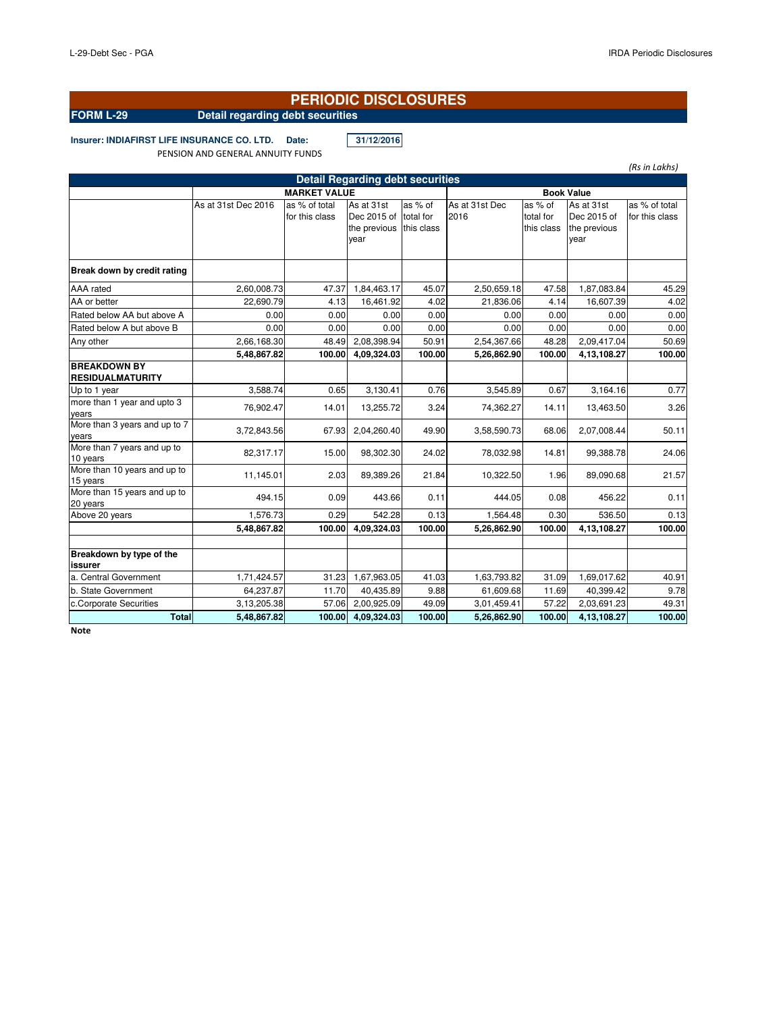### **PERIODIC DISCLOSURES**

# **FORM L-29 Detail regarding debt securities**

**Insurer: INDIAFIRST LIFE INSURANCE CO. LTD. Date: 31/12/2016**

PENSION AND GENERAL ANNUITY FUNDS

As at 31st Dec 2016 as % of total for this class As at 31st Dec 2015 of the previous this class year as % of total for As at 31st Dec 2016 as % of total for this class As at 31st Dec 2015 of the previous year as % of total for this class **Break down by credit rating** AAA rated 2,60,008.73 47.37 1,84,463.17 45.07 2,50,659.18 47.58 1,87,083.84 45.29 AA or better 22,690.79 4.13 16,461.92 4.02 21,836.06 4.14 16,607.39 4.02 Rated below AA but above A  $\begin{array}{|c|c|c|c|c|c|c|c|c|} \hline 0.00 & 0.00 & 0.00 & 0.00 & 0.00 & 0.00 & 0.00 \ \hline \end{array}$ Rated below A but above B 0.00 0.00 0.00 0.00 0.00 0.00 0.00 0.00 Any other 2,66,168.30 48.49 2,08,398.94 50.91 2,54,367.66 48.28 2,09,417.04 50.69 **5,48,867.82 100.00 4,09,324.03 100.00 5,26,862.90 100.00 4,13,108.27 100.00 BREAKDOWN BY RESIDUALMATURITY** Up to 1 year 3,588.74 0.65 3,130.41 0.76 3,545.89 0.67 3,164.16 0.77 more than 1 year and upto 3 years 76,902.47 14.01 13,255.72 3.24 74,362.27 14.11 13,463.50 3.26 More than 3 years and up to 7 years 3,72,843.56 67.93 2,04,260.40 49.90 3,58,590.73 68.06 2,07,008.44 50.11 More than 7 years and up to 10 years 82,317.17 15.00 98,302.30 24.02 78,032.98 14.81 99,388.78 24.06<br>10 years More than 10 years and up to 1.5 years 1.3 degree to the control of the 11,145.01 2.03 89,389.26 21.84 10,322.50 1.96 89,090.68 21.57<br>15 years More than 15 years and up to word man rolydals and apid (1990) in the 494.15 or the 444.05 or the 444.05 or the 456.22 or the 456.22 or the<br>20 years Above 20 years **1,576.73** 0.29 542.28 0.13 1,564.48 0.30 536.50 0.13 **5,48,867.82 100.00 4,09,324.03 100.00 5,26,862.90 100.00 4,13,108.27 100.00 Breakdown by type of the issurer** a. Central Government (1,71,424.57 31.23 1,67,963.05 41.03 1,63,793.82 31.09 1,69,017.62 40.91 b. State Government 64,237.87 11.70 40,435.89 9.88 61,609.68 11.69 40,399.42 9.78 c.Corporate Securities 3,13,205.38 57.06 2,00,925.09 49.09 3,01,459.41 57.22 2,03,691.23 49.31 **Total 5,48,867.82 100.00 4,09,324.03 100.00 5,26,862.90 100.00 4,13,108.27 100.00 Detail Regarding debt securities MARKET VALUE Book Value** 

**Note**

*(Rs in Lakhs)*